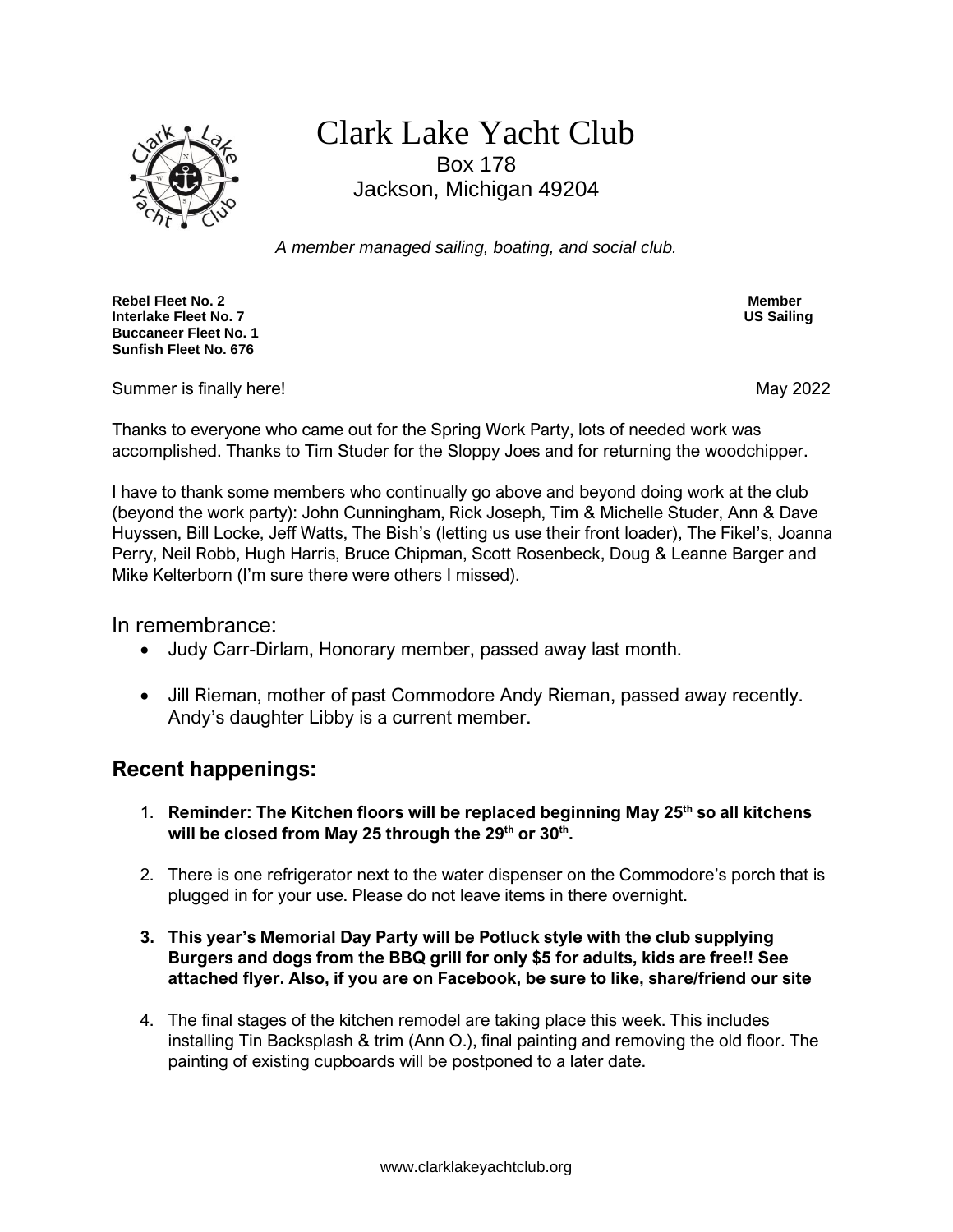

## Clark Lake Yacht Club Box 178 Jackson, Michigan 49204

*A member managed sailing, boating, and social club.*

**Rebel Fleet No. 2 Member Interlake Fleet No. 7 Buccaneer Fleet No. 1 Sunfish Fleet No. 676**

Summer is finally here! Summer is finally here!

Thanks to everyone who came out for the Spring Work Party, lots of needed work was accomplished. Thanks to Tim Studer for the Sloppy Joes and for returning the woodchipper.

I have to thank some members who continually go above and beyond doing work at the club (beyond the work party): John Cunningham, Rick Joseph, Tim & Michelle Studer, Ann & Dave Huyssen, Bill Locke, Jeff Watts, The Bish's (letting us use their front loader), The Fikel's, Joanna Perry, Neil Robb, Hugh Harris, Bruce Chipman, Scott Rosenbeck, Doug & Leanne Barger and Mike Kelterborn (I'm sure there were others I missed).

In remembrance:

- Judy Carr-Dirlam, Honorary member, passed away last month.
- Jill Rieman, mother of past Commodore Andy Rieman, passed away recently. Andy's daughter Libby is a current member.

## **Recent happenings:**

- 1. **Reminder: The Kitchen floors will be replaced beginning May 25th so all kitchens will be closed from May 25 through the 29th or 30th .**
- 2. There is one refrigerator next to the water dispenser on the Commodore's porch that is plugged in for your use. Please do not leave items in there overnight.
- **3. This year's Memorial Day Party will be Potluck style with the club supplying Burgers and dogs from the BBQ grill for only \$5 for adults, kids are free!! See attached flyer. Also, if you are on Facebook, be sure to like, share/friend our site**
- 4. The final stages of the kitchen remodel are taking place this week. This includes installing Tin Backsplash & trim (Ann O.), final painting and removing the old floor. The painting of existing cupboards will be postponed to a later date.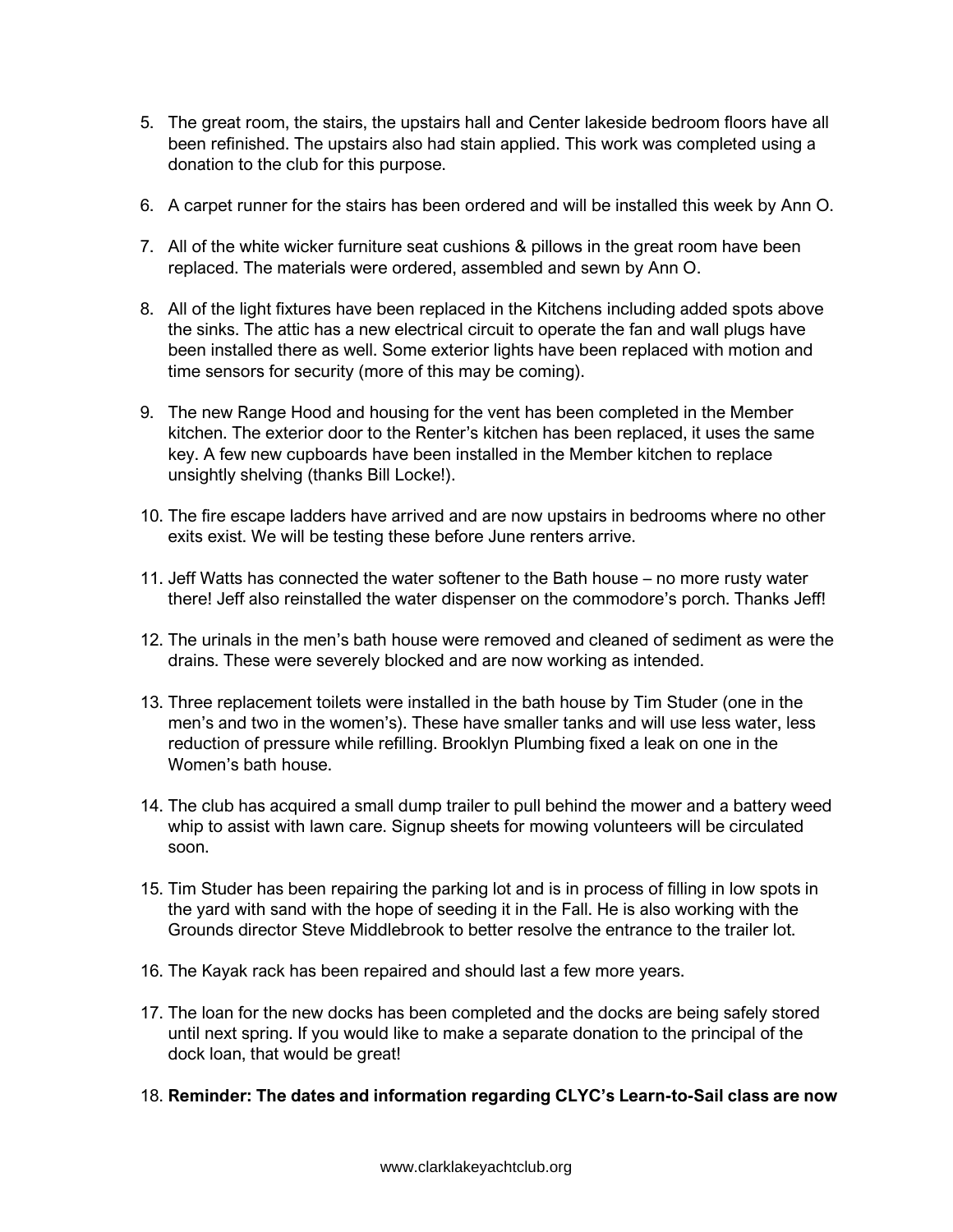- 5. The great room, the stairs, the upstairs hall and Center lakeside bedroom floors have all been refinished. The upstairs also had stain applied. This work was completed using a donation to the club for this purpose.
- 6. A carpet runner for the stairs has been ordered and will be installed this week by Ann O.
- 7. All of the white wicker furniture seat cushions & pillows in the great room have been replaced. The materials were ordered, assembled and sewn by Ann O.
- 8. All of the light fixtures have been replaced in the Kitchens including added spots above the sinks. The attic has a new electrical circuit to operate the fan and wall plugs have been installed there as well. Some exterior lights have been replaced with motion and time sensors for security (more of this may be coming).
- 9. The new Range Hood and housing for the vent has been completed in the Member kitchen. The exterior door to the Renter's kitchen has been replaced, it uses the same key. A few new cupboards have been installed in the Member kitchen to replace unsightly shelving (thanks Bill Locke!).
- 10. The fire escape ladders have arrived and are now upstairs in bedrooms where no other exits exist. We will be testing these before June renters arrive.
- 11. Jeff Watts has connected the water softener to the Bath house no more rusty water there! Jeff also reinstalled the water dispenser on the commodore's porch. Thanks Jeff!
- 12. The urinals in the men's bath house were removed and cleaned of sediment as were the drains. These were severely blocked and are now working as intended.
- 13. Three replacement toilets were installed in the bath house by Tim Studer (one in the men's and two in the women's). These have smaller tanks and will use less water, less reduction of pressure while refilling. Brooklyn Plumbing fixed a leak on one in the Women's bath house.
- 14. The club has acquired a small dump trailer to pull behind the mower and a battery weed whip to assist with lawn care. Signup sheets for mowing volunteers will be circulated soon.
- 15. Tim Studer has been repairing the parking lot and is in process of filling in low spots in the yard with sand with the hope of seeding it in the Fall. He is also working with the Grounds director Steve Middlebrook to better resolve the entrance to the trailer lot.
- 16. The Kayak rack has been repaired and should last a few more years.
- 17. The loan for the new docks has been completed and the docks are being safely stored until next spring. If you would like to make a separate donation to the principal of the dock loan, that would be great!
- 18. **Reminder: The dates and information regarding CLYC's Learn-to-Sail class are now**